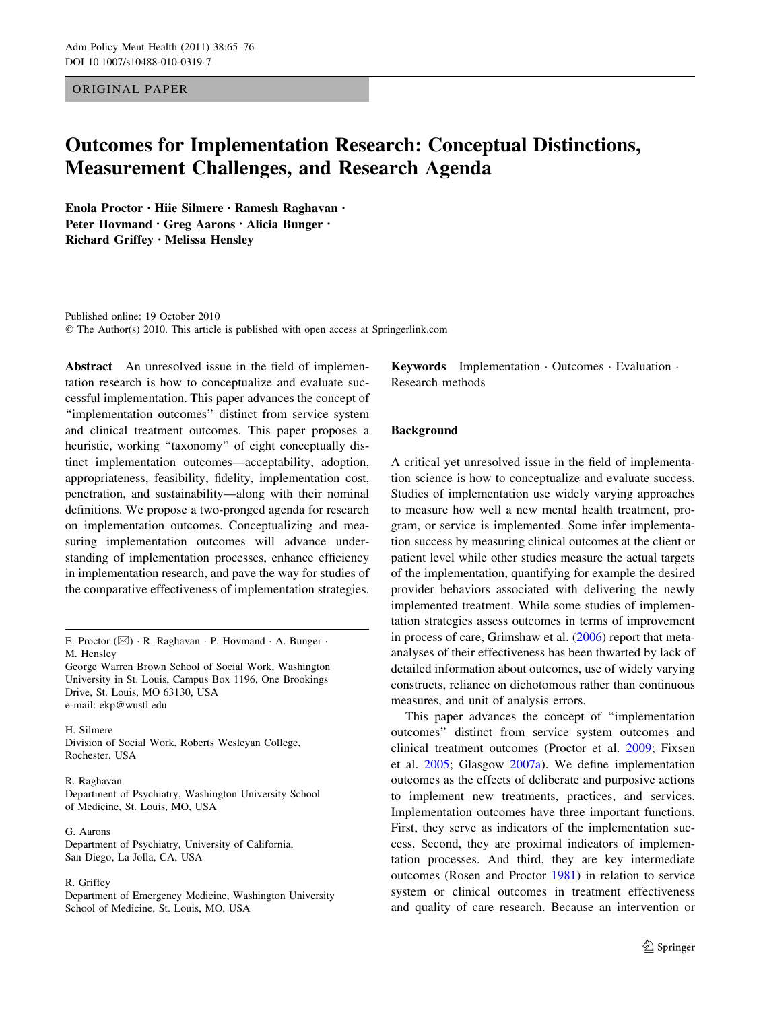## ORIGINAL PAPER

# Outcomes for Implementation Research: Conceptual Distinctions, Measurement Challenges, and Research Agenda

Enola Proctor • Hiie Silmere • Ramesh Raghavan • Peter Hovmand • Greg Aarons • Alicia Bunger • Richard Griffey • Melissa Hensley

Published online: 19 October 2010 © The Author(s) 2010. This article is published with open access at Springerlink.com

Abstract An unresolved issue in the field of implementation research is how to conceptualize and evaluate successful implementation. This paper advances the concept of ''implementation outcomes'' distinct from service system and clinical treatment outcomes. This paper proposes a heuristic, working "taxonomy" of eight conceptually distinct implementation outcomes—acceptability, adoption, appropriateness, feasibility, fidelity, implementation cost, penetration, and sustainability—along with their nominal definitions. We propose a two-pronged agenda for research on implementation outcomes. Conceptualizing and measuring implementation outcomes will advance understanding of implementation processes, enhance efficiency in implementation research, and pave the way for studies of the comparative effectiveness of implementation strategies.

E. Proctor ( $\boxtimes$ ) · R. Raghavan · P. Hovmand · A. Bunger · M. Hensley

George Warren Brown School of Social Work, Washington University in St. Louis, Campus Box 1196, One Brookings Drive, St. Louis, MO 63130, USA e-mail: ekp@wustl.edu

H. Silmere Division of Social Work, Roberts Wesleyan College, Rochester, USA

#### R. Raghavan

Department of Psychiatry, Washington University School of Medicine, St. Louis, MO, USA

G. Aarons Department of Psychiatry, University of California, San Diego, La Jolla, CA, USA

#### R. Griffey

Department of Emergency Medicine, Washington University School of Medicine, St. Louis, MO, USA

Keywords Implementation - Outcomes - Evaluation - Research methods

## Background

A critical yet unresolved issue in the field of implementation science is how to conceptualize and evaluate success. Studies of implementation use widely varying approaches to measure how well a new mental health treatment, program, or service is implemented. Some infer implementation success by measuring clinical outcomes at the client or patient level while other studies measure the actual targets of the implementation, quantifying for example the desired provider behaviors associated with delivering the newly implemented treatment. While some studies of implementation strategies assess outcomes in terms of improvement in process of care, Grimshaw et al. [\(2006](#page-9-0)) report that metaanalyses of their effectiveness has been thwarted by lack of detailed information about outcomes, use of widely varying constructs, reliance on dichotomous rather than continuous measures, and unit of analysis errors.

This paper advances the concept of ''implementation outcomes'' distinct from service system outcomes and clinical treatment outcomes (Proctor et al. [2009](#page-10-0); Fixsen et al. [2005](#page-9-0); Glasgow [2007a\)](#page-9-0). We define implementation outcomes as the effects of deliberate and purposive actions to implement new treatments, practices, and services. Implementation outcomes have three important functions. First, they serve as indicators of the implementation success. Second, they are proximal indicators of implementation processes. And third, they are key intermediate outcomes (Rosen and Proctor [1981](#page-10-0)) in relation to service system or clinical outcomes in treatment effectiveness and quality of care research. Because an intervention or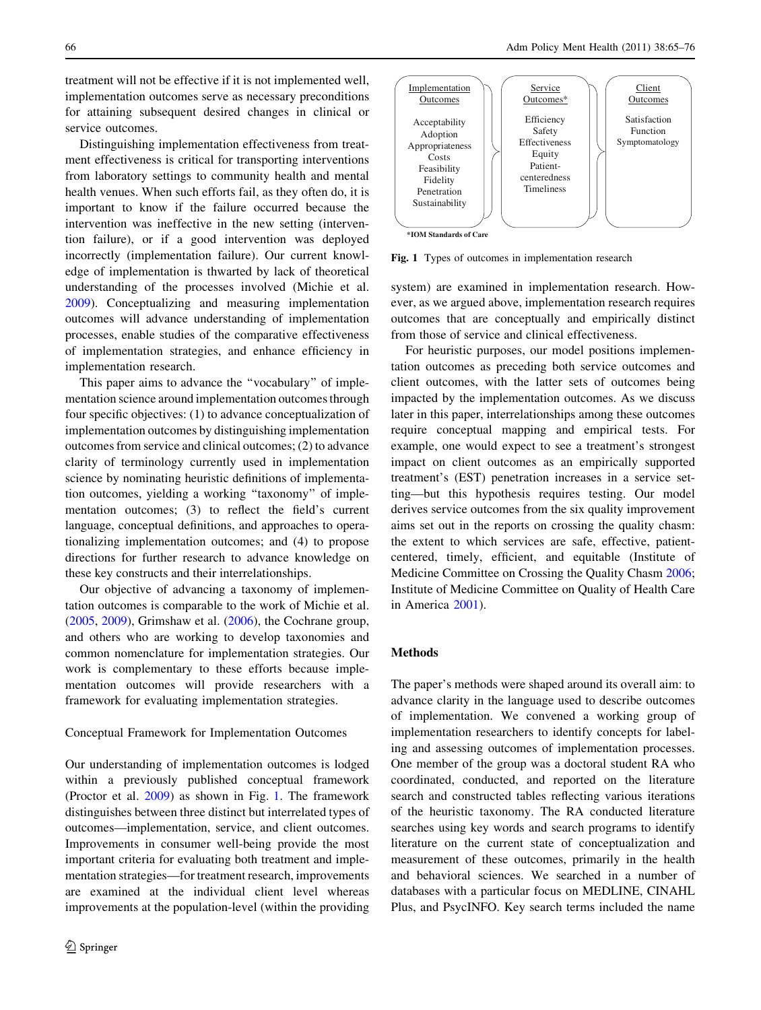treatment will not be effective if it is not implemented well, implementation outcomes serve as necessary preconditions for attaining subsequent desired changes in clinical or service outcomes.

Distinguishing implementation effectiveness from treatment effectiveness is critical for transporting interventions from laboratory settings to community health and mental health venues. When such efforts fail, as they often do, it is important to know if the failure occurred because the intervention was ineffective in the new setting (intervention failure), or if a good intervention was deployed incorrectly (implementation failure). Our current knowledge of implementation is thwarted by lack of theoretical understanding of the processes involved (Michie et al. [2009\)](#page-10-0). Conceptualizing and measuring implementation outcomes will advance understanding of implementation processes, enable studies of the comparative effectiveness of implementation strategies, and enhance efficiency in implementation research.

This paper aims to advance the ''vocabulary'' of implementation science around implementation outcomes through four specific objectives: (1) to advance conceptualization of implementation outcomes by distinguishing implementation outcomes from service and clinical outcomes; (2) to advance clarity of terminology currently used in implementation science by nominating heuristic definitions of implementation outcomes, yielding a working ''taxonomy'' of implementation outcomes; (3) to reflect the field's current language, conceptual definitions, and approaches to operationalizing implementation outcomes; and (4) to propose directions for further research to advance knowledge on these key constructs and their interrelationships.

Our objective of advancing a taxonomy of implementation outcomes is comparable to the work of Michie et al. [\(2005](#page-10-0), [2009\)](#page-10-0), Grimshaw et al. ([2006](#page-9-0)), the Cochrane group, and others who are working to develop taxonomies and common nomenclature for implementation strategies. Our work is complementary to these efforts because implementation outcomes will provide researchers with a framework for evaluating implementation strategies.

#### Conceptual Framework for Implementation Outcomes

Our understanding of implementation outcomes is lodged within a previously published conceptual framework (Proctor et al. [2009](#page-10-0)) as shown in Fig. 1. The framework distinguishes between three distinct but interrelated types of outcomes—implementation, service, and client outcomes. Improvements in consumer well-being provide the most important criteria for evaluating both treatment and implementation strategies—for treatment research, improvements are examined at the individual client level whereas improvements at the population-level (within the providing



Fig. 1 Types of outcomes in implementation research

system) are examined in implementation research. However, as we argued above, implementation research requires outcomes that are conceptually and empirically distinct from those of service and clinical effectiveness.

For heuristic purposes, our model positions implementation outcomes as preceding both service outcomes and client outcomes, with the latter sets of outcomes being impacted by the implementation outcomes. As we discuss later in this paper, interrelationships among these outcomes require conceptual mapping and empirical tests. For example, one would expect to see a treatment's strongest impact on client outcomes as an empirically supported treatment's (EST) penetration increases in a service setting—but this hypothesis requires testing. Our model derives service outcomes from the six quality improvement aims set out in the reports on crossing the quality chasm: the extent to which services are safe, effective, patientcentered, timely, efficient, and equitable (Institute of Medicine Committee on Crossing the Quality Chasm [2006](#page-10-0); Institute of Medicine Committee on Quality of Health Care in America [2001](#page-10-0)).

## Methods

The paper's methods were shaped around its overall aim: to advance clarity in the language used to describe outcomes of implementation. We convened a working group of implementation researchers to identify concepts for labeling and assessing outcomes of implementation processes. One member of the group was a doctoral student RA who coordinated, conducted, and reported on the literature search and constructed tables reflecting various iterations of the heuristic taxonomy. The RA conducted literature searches using key words and search programs to identify literature on the current state of conceptualization and measurement of these outcomes, primarily in the health and behavioral sciences. We searched in a number of databases with a particular focus on MEDLINE, CINAHL Plus, and PsycINFO. Key search terms included the name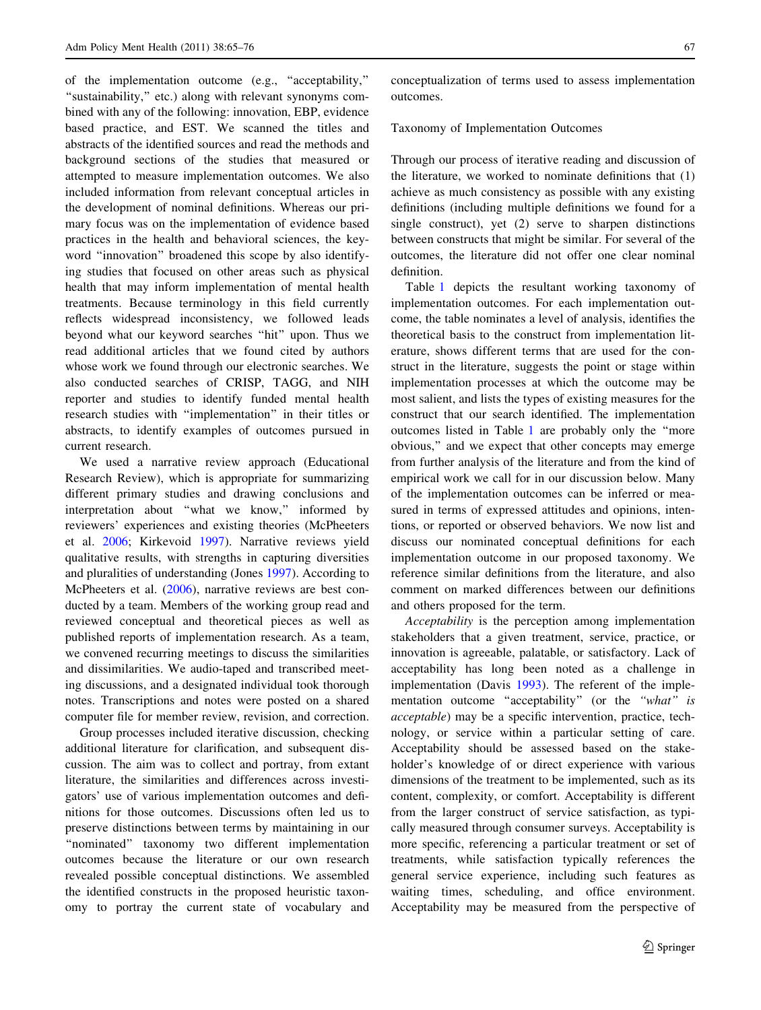of the implementation outcome (e.g., ''acceptability,'' "sustainability," etc.) along with relevant synonyms combined with any of the following: innovation, EBP, evidence based practice, and EST. We scanned the titles and abstracts of the identified sources and read the methods and background sections of the studies that measured or attempted to measure implementation outcomes. We also included information from relevant conceptual articles in the development of nominal definitions. Whereas our primary focus was on the implementation of evidence based practices in the health and behavioral sciences, the keyword ''innovation'' broadened this scope by also identifying studies that focused on other areas such as physical health that may inform implementation of mental health treatments. Because terminology in this field currently reflects widespread inconsistency, we followed leads beyond what our keyword searches ''hit'' upon. Thus we read additional articles that we found cited by authors whose work we found through our electronic searches. We also conducted searches of CRISP, TAGG, and NIH reporter and studies to identify funded mental health research studies with ''implementation'' in their titles or abstracts, to identify examples of outcomes pursued in current research.

We used a narrative review approach (Educational Research Review), which is appropriate for summarizing different primary studies and drawing conclusions and interpretation about ''what we know,'' informed by reviewers' experiences and existing theories (McPheeters et al. [2006](#page-10-0); Kirkevoid [1997\)](#page-10-0). Narrative reviews yield qualitative results, with strengths in capturing diversities and pluralities of understanding (Jones [1997](#page-10-0)). According to McPheeters et al. ([2006\)](#page-10-0), narrative reviews are best conducted by a team. Members of the working group read and reviewed conceptual and theoretical pieces as well as published reports of implementation research. As a team, we convened recurring meetings to discuss the similarities and dissimilarities. We audio-taped and transcribed meeting discussions, and a designated individual took thorough notes. Transcriptions and notes were posted on a shared computer file for member review, revision, and correction.

Group processes included iterative discussion, checking additional literature for clarification, and subsequent discussion. The aim was to collect and portray, from extant literature, the similarities and differences across investigators' use of various implementation outcomes and definitions for those outcomes. Discussions often led us to preserve distinctions between terms by maintaining in our ''nominated'' taxonomy two different implementation outcomes because the literature or our own research revealed possible conceptual distinctions. We assembled the identified constructs in the proposed heuristic taxonomy to portray the current state of vocabulary and conceptualization of terms used to assess implementation outcomes.

## Taxonomy of Implementation Outcomes

Through our process of iterative reading and discussion of the literature, we worked to nominate definitions that (1) achieve as much consistency as possible with any existing definitions (including multiple definitions we found for a single construct), yet (2) serve to sharpen distinctions between constructs that might be similar. For several of the outcomes, the literature did not offer one clear nominal definition.

Table [1](#page-3-0) depicts the resultant working taxonomy of implementation outcomes. For each implementation outcome, the table nominates a level of analysis, identifies the theoretical basis to the construct from implementation literature, shows different terms that are used for the construct in the literature, suggests the point or stage within implementation processes at which the outcome may be most salient, and lists the types of existing measures for the construct that our search identified. The implementation outcomes listed in Table [1](#page-3-0) are probably only the ''more obvious,'' and we expect that other concepts may emerge from further analysis of the literature and from the kind of empirical work we call for in our discussion below. Many of the implementation outcomes can be inferred or measured in terms of expressed attitudes and opinions, intentions, or reported or observed behaviors. We now list and discuss our nominated conceptual definitions for each implementation outcome in our proposed taxonomy. We reference similar definitions from the literature, and also comment on marked differences between our definitions and others proposed for the term.

Acceptability is the perception among implementation stakeholders that a given treatment, service, practice, or innovation is agreeable, palatable, or satisfactory. Lack of acceptability has long been noted as a challenge in implementation (Davis [1993](#page-9-0)). The referent of the implementation outcome "acceptability" (or the "what" is acceptable) may be a specific intervention, practice, technology, or service within a particular setting of care. Acceptability should be assessed based on the stakeholder's knowledge of or direct experience with various dimensions of the treatment to be implemented, such as its content, complexity, or comfort. Acceptability is different from the larger construct of service satisfaction, as typically measured through consumer surveys. Acceptability is more specific, referencing a particular treatment or set of treatments, while satisfaction typically references the general service experience, including such features as waiting times, scheduling, and office environment. Acceptability may be measured from the perspective of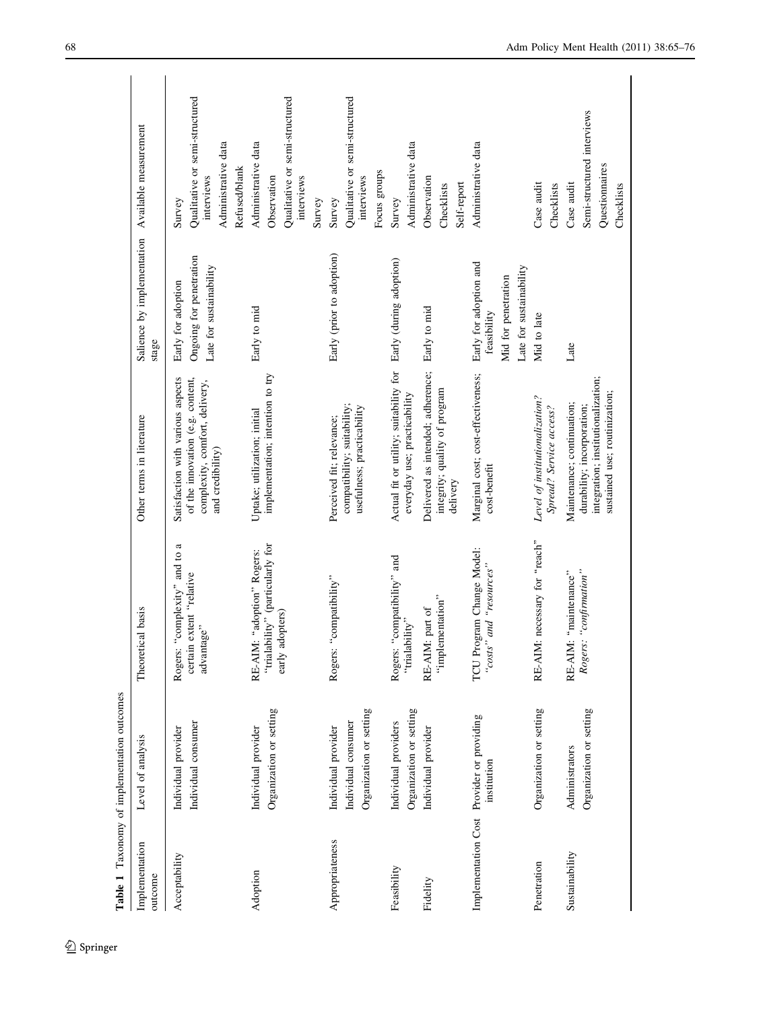<span id="page-3-0"></span>

|                           | Table 1 Taxonomy of implementation outcomes                           |                                                                                      |                                                                                                                                 |                                                                                         |                                                                                                |
|---------------------------|-----------------------------------------------------------------------|--------------------------------------------------------------------------------------|---------------------------------------------------------------------------------------------------------------------------------|-----------------------------------------------------------------------------------------|------------------------------------------------------------------------------------------------|
| Implementation<br>outcome | Level of analysis                                                     | Theoretical basis                                                                    | Other terms in literature                                                                                                       | Salience by implementation<br>stage                                                     | Available measurement                                                                          |
| Acceptability             | Individual consumer<br>Individual provider                            | "complexity" and to a<br>certain extent "relative<br>advantage"<br>Rogers:           | of the innovation (e.g. content,<br>Satisfaction with various aspects<br>complexity, comfort, delivery,<br>and credibility)     | Ongoing for penetration<br>Late for sustainability<br>Early for adoption                | Qualitative or semi-structured<br>Administrative data<br>Refused/blank<br>interviews<br>Survey |
| Adoption                  | Organization or setting<br>Individual provider                        | "trialability" (particularly for<br>RE-AIM: "adoption" Rogers:<br>adopters)<br>early | implementation; intention to try<br>Uptake; utilization; initial                                                                | Early to mid                                                                            | Qualitative or semi-structured<br>Administrative data<br>Observation<br>interviews<br>Survey   |
| Appropriateness           | Organization or setting<br>Individual consumer<br>Individual provider | "compatibility"<br>Rogers:                                                           | compatibility; suitability;<br>usefulness; practicability<br>Perceived fit; relevance;                                          | Early (prior to adoption)                                                               | Qualitative or semi-structured<br>Focus groups<br>interviews<br>Survey                         |
| Feasibility               | Organization or setting<br>Individual providers                       | "compatibility" and<br>"trialability"<br>Rogers:                                     | Actual fit or utility; suitability for<br>everyday use; practicability                                                          | Early (during adoption)                                                                 | Administrative data<br>Survey                                                                  |
| Fidelity                  | Individual provider                                                   | "implementation"<br>RE-AIM: part of                                                  | Delivered as intended; adherence;<br>integrity; quality of program<br>delivery                                                  | Early to mid                                                                            | Observation<br>Self-report<br>Checklists                                                       |
|                           | Implementation Cost Provider or providing<br>institution              | TCU Program Change Model:<br>"costs" and "resources"                                 | Marginal cost; cost-effectiveness;<br>cost-benefit                                                                              | Early for adoption and<br>Late for sustainability<br>Mid for penetration<br>feasibility | Administrative data                                                                            |
| Penetration               | Organization or setting                                               | RE-AIM: necessary for "reach"                                                        | Level of institutionalization?<br>Spread? Service access?                                                                       | Mid to late                                                                             | Case audit<br>Checklists                                                                       |
| Sustainability            | Organization or setting<br>Administrators                             | Rogers: "confirmation"<br>RE-AIM: "maintenance"                                      | integration; institutionalization;<br>sustained use; routinization;<br>Maintenance; continuation;<br>durability; incorporation; | Late                                                                                    | Semi-structured interviews<br>Questionnaires<br>Case audit<br>Checklists                       |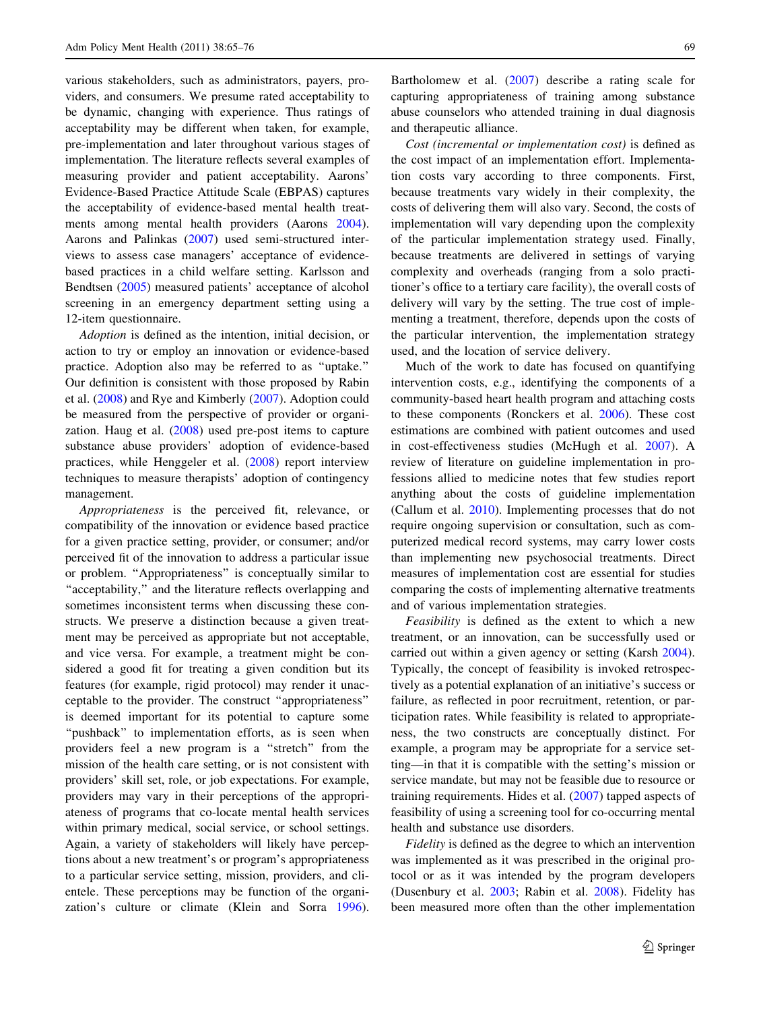various stakeholders, such as administrators, payers, providers, and consumers. We presume rated acceptability to be dynamic, changing with experience. Thus ratings of acceptability may be different when taken, for example, pre-implementation and later throughout various stages of implementation. The literature reflects several examples of measuring provider and patient acceptability. Aarons' Evidence-Based Practice Attitude Scale (EBPAS) captures the acceptability of evidence-based mental health treatments among mental health providers (Aarons [2004](#page-9-0)). Aarons and Palinkas ([2007](#page-9-0)) used semi-structured interviews to assess case managers' acceptance of evidencebased practices in a child welfare setting. Karlsson and Bendtsen ([2005\)](#page-10-0) measured patients' acceptance of alcohol screening in an emergency department setting using a 12-item questionnaire.

Adoption is defined as the intention, initial decision, or action to try or employ an innovation or evidence-based practice. Adoption also may be referred to as ''uptake.'' Our definition is consistent with those proposed by Rabin et al. [\(2008](#page-10-0)) and Rye and Kimberly [\(2007](#page-10-0)). Adoption could be measured from the perspective of provider or organization. Haug et al. ([2008\)](#page-10-0) used pre-post items to capture substance abuse providers' adoption of evidence-based practices, while Henggeler et al. [\(2008](#page-10-0)) report interview techniques to measure therapists' adoption of contingency management.

Appropriateness is the perceived fit, relevance, or compatibility of the innovation or evidence based practice for a given practice setting, provider, or consumer; and/or perceived fit of the innovation to address a particular issue or problem. ''Appropriateness'' is conceptually similar to "acceptability," and the literature reflects overlapping and sometimes inconsistent terms when discussing these constructs. We preserve a distinction because a given treatment may be perceived as appropriate but not acceptable, and vice versa. For example, a treatment might be considered a good fit for treating a given condition but its features (for example, rigid protocol) may render it unacceptable to the provider. The construct ''appropriateness'' is deemed important for its potential to capture some "pushback" to implementation efforts, as is seen when providers feel a new program is a ''stretch'' from the mission of the health care setting, or is not consistent with providers' skill set, role, or job expectations. For example, providers may vary in their perceptions of the appropriateness of programs that co-locate mental health services within primary medical, social service, or school settings. Again, a variety of stakeholders will likely have perceptions about a new treatment's or program's appropriateness to a particular service setting, mission, providers, and clientele. These perceptions may be function of the organization's culture or climate (Klein and Sorra [1996](#page-10-0)).

Bartholomew et al. ([2007\)](#page-9-0) describe a rating scale for capturing appropriateness of training among substance abuse counselors who attended training in dual diagnosis and therapeutic alliance.

Cost (incremental or implementation cost) is defined as the cost impact of an implementation effort. Implementation costs vary according to three components. First, because treatments vary widely in their complexity, the costs of delivering them will also vary. Second, the costs of implementation will vary depending upon the complexity of the particular implementation strategy used. Finally, because treatments are delivered in settings of varying complexity and overheads (ranging from a solo practitioner's office to a tertiary care facility), the overall costs of delivery will vary by the setting. The true cost of implementing a treatment, therefore, depends upon the costs of the particular intervention, the implementation strategy used, and the location of service delivery.

Much of the work to date has focused on quantifying intervention costs, e.g., identifying the components of a community-based heart health program and attaching costs to these components (Ronckers et al. [2006](#page-10-0)). These cost estimations are combined with patient outcomes and used in cost-effectiveness studies (McHugh et al. [2007](#page-10-0)). A review of literature on guideline implementation in professions allied to medicine notes that few studies report anything about the costs of guideline implementation (Callum et al. [2010](#page-9-0)). Implementing processes that do not require ongoing supervision or consultation, such as computerized medical record systems, may carry lower costs than implementing new psychosocial treatments. Direct measures of implementation cost are essential for studies comparing the costs of implementing alternative treatments and of various implementation strategies.

Feasibility is defined as the extent to which a new treatment, or an innovation, can be successfully used or carried out within a given agency or setting (Karsh [2004](#page-10-0)). Typically, the concept of feasibility is invoked retrospectively as a potential explanation of an initiative's success or failure, as reflected in poor recruitment, retention, or participation rates. While feasibility is related to appropriateness, the two constructs are conceptually distinct. For example, a program may be appropriate for a service setting—in that it is compatible with the setting's mission or service mandate, but may not be feasible due to resource or training requirements. Hides et al. [\(2007](#page-10-0)) tapped aspects of feasibility of using a screening tool for co-occurring mental health and substance use disorders.

Fidelity is defined as the degree to which an intervention was implemented as it was prescribed in the original protocol or as it was intended by the program developers (Dusenbury et al. [2003;](#page-9-0) Rabin et al. [2008](#page-10-0)). Fidelity has been measured more often than the other implementation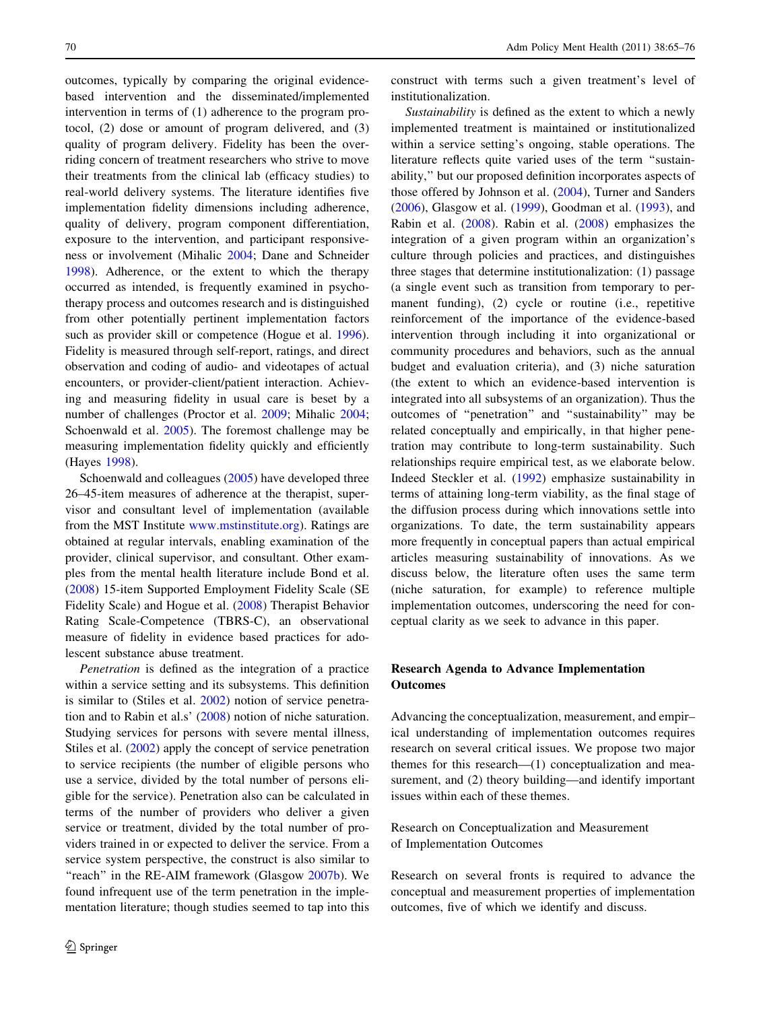outcomes, typically by comparing the original evidencebased intervention and the disseminated/implemented intervention in terms of (1) adherence to the program protocol, (2) dose or amount of program delivered, and (3) quality of program delivery. Fidelity has been the overriding concern of treatment researchers who strive to move their treatments from the clinical lab (efficacy studies) to real-world delivery systems. The literature identifies five implementation fidelity dimensions including adherence, quality of delivery, program component differentiation, exposure to the intervention, and participant responsiveness or involvement (Mihalic [2004](#page-10-0); Dane and Schneider [1998\)](#page-9-0). Adherence, or the extent to which the therapy occurred as intended, is frequently examined in psychotherapy process and outcomes research and is distinguished from other potentially pertinent implementation factors such as provider skill or competence (Hogue et al. [1996](#page-10-0)). Fidelity is measured through self-report, ratings, and direct observation and coding of audio- and videotapes of actual encounters, or provider-client/patient interaction. Achieving and measuring fidelity in usual care is beset by a number of challenges (Proctor et al. [2009;](#page-10-0) Mihalic [2004](#page-10-0); Schoenwald et al. [2005](#page-10-0)). The foremost challenge may be measuring implementation fidelity quickly and efficiently (Hayes [1998\)](#page-10-0).

Schoenwald and colleagues ([2005](#page-10-0)) have developed three 26–45-item measures of adherence at the therapist, supervisor and consultant level of implementation (available from the MST Institute [www.mstinstitute.org\)](http://www.mstinstitute.org). Ratings are obtained at regular intervals, enabling examination of the provider, clinical supervisor, and consultant. Other examples from the mental health literature include Bond et al. [\(2008](#page-9-0)) 15-item Supported Employment Fidelity Scale (SE Fidelity Scale) and Hogue et al. ([2008\)](#page-10-0) Therapist Behavior Rating Scale-Competence (TBRS-C), an observational measure of fidelity in evidence based practices for adolescent substance abuse treatment.

Penetration is defined as the integration of a practice within a service setting and its subsystems. This definition is similar to (Stiles et al. [2002\)](#page-10-0) notion of service penetration and to Rabin et al.s' [\(2008](#page-10-0)) notion of niche saturation. Studying services for persons with severe mental illness, Stiles et al. ([2002\)](#page-10-0) apply the concept of service penetration to service recipients (the number of eligible persons who use a service, divided by the total number of persons eligible for the service). Penetration also can be calculated in terms of the number of providers who deliver a given service or treatment, divided by the total number of providers trained in or expected to deliver the service. From a service system perspective, the construct is also similar to "reach" in the RE-AIM framework (Glasgow [2007b](#page-9-0)). We found infrequent use of the term penetration in the implementation literature; though studies seemed to tap into this construct with terms such a given treatment's level of institutionalization.

Sustainability is defined as the extent to which a newly implemented treatment is maintained or institutionalized within a service setting's ongoing, stable operations. The literature reflects quite varied uses of the term ''sustainability,'' but our proposed definition incorporates aspects of those offered by Johnson et al. [\(2004](#page-10-0)), Turner and Sanders [\(2006](#page-10-0)), Glasgow et al. [\(1999](#page-9-0)), Goodman et al. ([1993\)](#page-9-0), and Rabin et al. [\(2008](#page-10-0)). Rabin et al. [\(2008](#page-10-0)) emphasizes the integration of a given program within an organization's culture through policies and practices, and distinguishes three stages that determine institutionalization: (1) passage (a single event such as transition from temporary to permanent funding), (2) cycle or routine (i.e., repetitive reinforcement of the importance of the evidence-based intervention through including it into organizational or community procedures and behaviors, such as the annual budget and evaluation criteria), and (3) niche saturation (the extent to which an evidence-based intervention is integrated into all subsystems of an organization). Thus the outcomes of ''penetration'' and ''sustainability'' may be related conceptually and empirically, in that higher penetration may contribute to long-term sustainability. Such relationships require empirical test, as we elaborate below. Indeed Steckler et al. [\(1992](#page-10-0)) emphasize sustainability in terms of attaining long-term viability, as the final stage of the diffusion process during which innovations settle into organizations. To date, the term sustainability appears more frequently in conceptual papers than actual empirical articles measuring sustainability of innovations. As we discuss below, the literature often uses the same term (niche saturation, for example) to reference multiple implementation outcomes, underscoring the need for conceptual clarity as we seek to advance in this paper.

# Research Agenda to Advance Implementation **Outcomes**

Advancing the conceptualization, measurement, and empir– ical understanding of implementation outcomes requires research on several critical issues. We propose two major themes for this research—(1) conceptualization and measurement, and (2) theory building—and identify important issues within each of these themes.

Research on Conceptualization and Measurement of Implementation Outcomes

Research on several fronts is required to advance the conceptual and measurement properties of implementation outcomes, five of which we identify and discuss.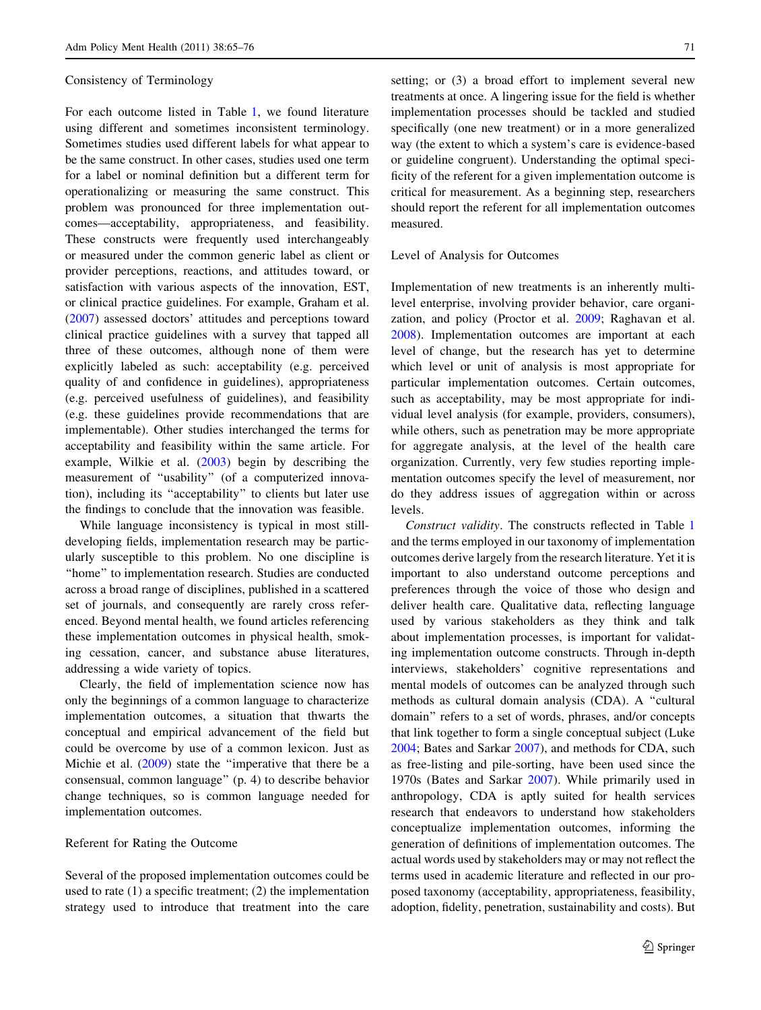#### Consistency of Terminology

For each outcome listed in Table [1,](#page-3-0) we found literature using different and sometimes inconsistent terminology. Sometimes studies used different labels for what appear to be the same construct. In other cases, studies used one term for a label or nominal definition but a different term for operationalizing or measuring the same construct. This problem was pronounced for three implementation outcomes—acceptability, appropriateness, and feasibility. These constructs were frequently used interchangeably or measured under the common generic label as client or provider perceptions, reactions, and attitudes toward, or satisfaction with various aspects of the innovation, EST, or clinical practice guidelines. For example, Graham et al. [\(2007](#page-9-0)) assessed doctors' attitudes and perceptions toward clinical practice guidelines with a survey that tapped all three of these outcomes, although none of them were explicitly labeled as such: acceptability (e.g. perceived quality of and confidence in guidelines), appropriateness (e.g. perceived usefulness of guidelines), and feasibility (e.g. these guidelines provide recommendations that are implementable). Other studies interchanged the terms for acceptability and feasibility within the same article. For example, Wilkie et al. [\(2003](#page-11-0)) begin by describing the measurement of ''usability'' (of a computerized innovation), including its ''acceptability'' to clients but later use the findings to conclude that the innovation was feasible.

While language inconsistency is typical in most stilldeveloping fields, implementation research may be particularly susceptible to this problem. No one discipline is ''home'' to implementation research. Studies are conducted across a broad range of disciplines, published in a scattered set of journals, and consequently are rarely cross referenced. Beyond mental health, we found articles referencing these implementation outcomes in physical health, smoking cessation, cancer, and substance abuse literatures, addressing a wide variety of topics.

Clearly, the field of implementation science now has only the beginnings of a common language to characterize implementation outcomes, a situation that thwarts the conceptual and empirical advancement of the field but could be overcome by use of a common lexicon. Just as Michie et al. [\(2009](#page-10-0)) state the ''imperative that there be a consensual, common language'' (p. 4) to describe behavior change techniques, so is common language needed for implementation outcomes.

## Referent for Rating the Outcome

Several of the proposed implementation outcomes could be used to rate (1) a specific treatment; (2) the implementation strategy used to introduce that treatment into the care setting; or (3) a broad effort to implement several new treatments at once. A lingering issue for the field is whether implementation processes should be tackled and studied specifically (one new treatment) or in a more generalized way (the extent to which a system's care is evidence-based or guideline congruent). Understanding the optimal specificity of the referent for a given implementation outcome is critical for measurement. As a beginning step, researchers should report the referent for all implementation outcomes measured.

### Level of Analysis for Outcomes

Implementation of new treatments is an inherently multilevel enterprise, involving provider behavior, care organization, and policy (Proctor et al. [2009](#page-10-0); Raghavan et al. [2008](#page-10-0)). Implementation outcomes are important at each level of change, but the research has yet to determine which level or unit of analysis is most appropriate for particular implementation outcomes. Certain outcomes, such as acceptability, may be most appropriate for individual level analysis (for example, providers, consumers), while others, such as penetration may be more appropriate for aggregate analysis, at the level of the health care organization. Currently, very few studies reporting implementation outcomes specify the level of measurement, nor do they address issues of aggregation within or across levels.

Construct validity. The constructs reflected in Table [1](#page-3-0) and the terms employed in our taxonomy of implementation outcomes derive largely from the research literature. Yet it is important to also understand outcome perceptions and preferences through the voice of those who design and deliver health care. Qualitative data, reflecting language used by various stakeholders as they think and talk about implementation processes, is important for validating implementation outcome constructs. Through in-depth interviews, stakeholders' cognitive representations and mental models of outcomes can be analyzed through such methods as cultural domain analysis (CDA). A ''cultural domain'' refers to a set of words, phrases, and/or concepts that link together to form a single conceptual subject (Luke [2004](#page-10-0); Bates and Sarkar [2007\)](#page-9-0), and methods for CDA, such as free-listing and pile-sorting, have been used since the 1970s (Bates and Sarkar [2007](#page-9-0)). While primarily used in anthropology, CDA is aptly suited for health services research that endeavors to understand how stakeholders conceptualize implementation outcomes, informing the generation of definitions of implementation outcomes. The actual words used by stakeholders may or may not reflect the terms used in academic literature and reflected in our proposed taxonomy (acceptability, appropriateness, feasibility, adoption, fidelity, penetration, sustainability and costs). But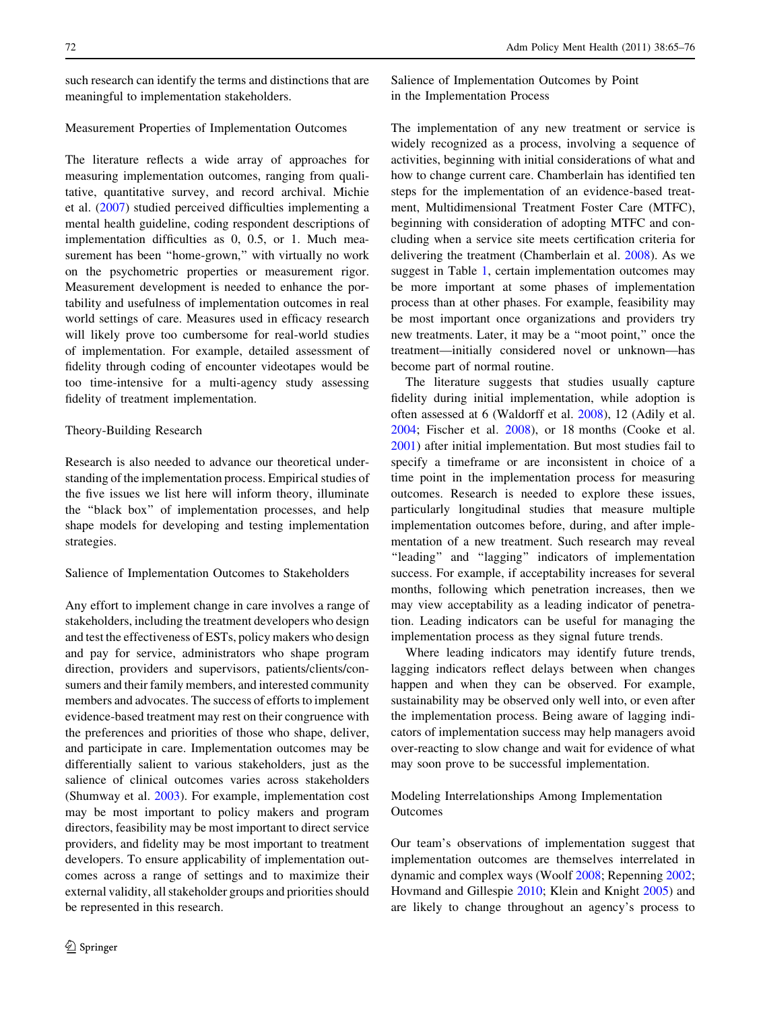such research can identify the terms and distinctions that are meaningful to implementation stakeholders.

## Measurement Properties of Implementation Outcomes

The literature reflects a wide array of approaches for measuring implementation outcomes, ranging from qualitative, quantitative survey, and record archival. Michie et al. [\(2007](#page-10-0)) studied perceived difficulties implementing a mental health guideline, coding respondent descriptions of implementation difficulties as 0, 0.5, or 1. Much measurement has been "home-grown," with virtually no work on the psychometric properties or measurement rigor. Measurement development is needed to enhance the portability and usefulness of implementation outcomes in real world settings of care. Measures used in efficacy research will likely prove too cumbersome for real-world studies of implementation. For example, detailed assessment of fidelity through coding of encounter videotapes would be too time-intensive for a multi-agency study assessing fidelity of treatment implementation.

# Theory-Building Research

Research is also needed to advance our theoretical understanding of the implementation process. Empirical studies of the five issues we list here will inform theory, illuminate the ''black box'' of implementation processes, and help shape models for developing and testing implementation strategies.

## Salience of Implementation Outcomes to Stakeholders

Any effort to implement change in care involves a range of stakeholders, including the treatment developers who design and test the effectiveness of ESTs, policy makers who design and pay for service, administrators who shape program direction, providers and supervisors, patients/clients/consumers and their family members, and interested community members and advocates. The success of efforts to implement evidence-based treatment may rest on their congruence with the preferences and priorities of those who shape, deliver, and participate in care. Implementation outcomes may be differentially salient to various stakeholders, just as the salience of clinical outcomes varies across stakeholders (Shumway et al. [2003\)](#page-10-0). For example, implementation cost may be most important to policy makers and program directors, feasibility may be most important to direct service providers, and fidelity may be most important to treatment developers. To ensure applicability of implementation outcomes across a range of settings and to maximize their external validity, all stakeholder groups and priorities should be represented in this research.

Salience of Implementation Outcomes by Point in the Implementation Process

The implementation of any new treatment or service is widely recognized as a process, involving a sequence of activities, beginning with initial considerations of what and how to change current care. Chamberlain has identified ten steps for the implementation of an evidence-based treatment, Multidimensional Treatment Foster Care (MTFC), beginning with consideration of adopting MTFC and concluding when a service site meets certification criteria for delivering the treatment (Chamberlain et al. [2008](#page-9-0)). As we suggest in Table [1,](#page-3-0) certain implementation outcomes may be more important at some phases of implementation process than at other phases. For example, feasibility may be most important once organizations and providers try new treatments. Later, it may be a ''moot point,'' once the treatment—initially considered novel or unknown—has become part of normal routine.

The literature suggests that studies usually capture fidelity during initial implementation, while adoption is often assessed at 6 (Waldorff et al. [2008](#page-10-0)), 12 (Adily et al. [2004](#page-9-0); Fischer et al. [2008\)](#page-9-0), or 18 months (Cooke et al. [2001](#page-9-0)) after initial implementation. But most studies fail to specify a timeframe or are inconsistent in choice of a time point in the implementation process for measuring outcomes. Research is needed to explore these issues, particularly longitudinal studies that measure multiple implementation outcomes before, during, and after implementation of a new treatment. Such research may reveal ''leading'' and ''lagging'' indicators of implementation success. For example, if acceptability increases for several months, following which penetration increases, then we may view acceptability as a leading indicator of penetration. Leading indicators can be useful for managing the implementation process as they signal future trends.

Where leading indicators may identify future trends, lagging indicators reflect delays between when changes happen and when they can be observed. For example, sustainability may be observed only well into, or even after the implementation process. Being aware of lagging indicators of implementation success may help managers avoid over-reacting to slow change and wait for evidence of what may soon prove to be successful implementation.

# Modeling Interrelationships Among Implementation **Outcomes**

Our team's observations of implementation suggest that implementation outcomes are themselves interrelated in dynamic and complex ways (Woolf [2008;](#page-11-0) Repenning [2002](#page-10-0); Hovmand and Gillespie [2010;](#page-10-0) Klein and Knight [2005\)](#page-10-0) and are likely to change throughout an agency's process to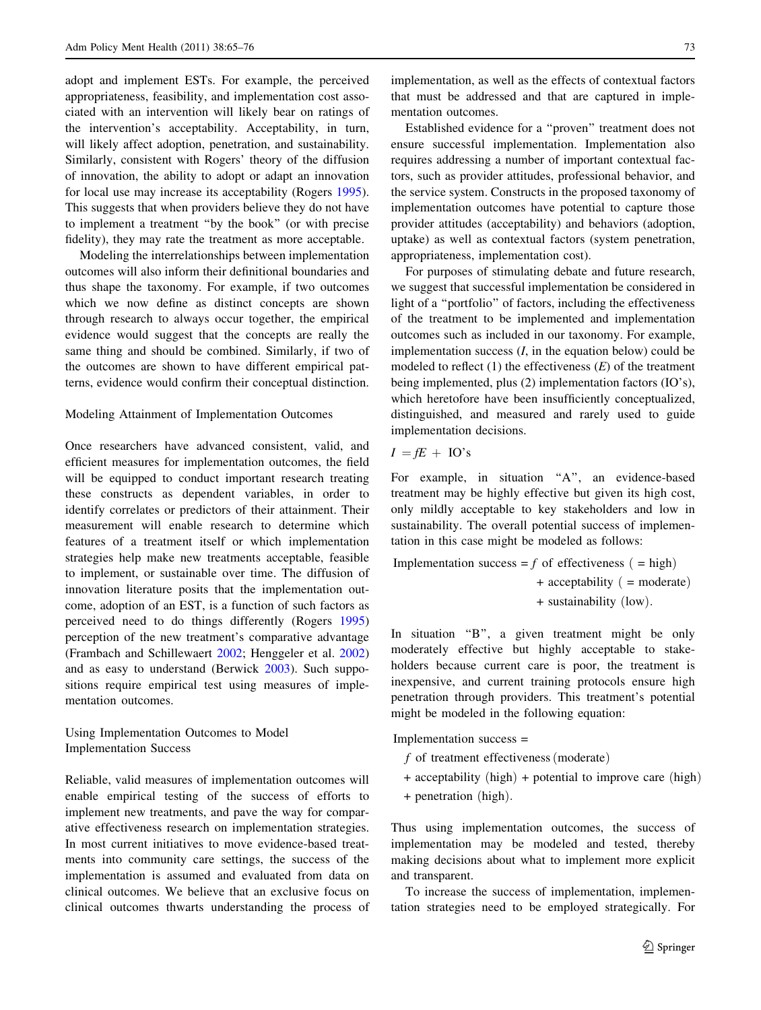adopt and implement ESTs. For example, the perceived appropriateness, feasibility, and implementation cost associated with an intervention will likely bear on ratings of the intervention's acceptability. Acceptability, in turn, will likely affect adoption, penetration, and sustainability. Similarly, consistent with Rogers' theory of the diffusion of innovation, the ability to adopt or adapt an innovation for local use may increase its acceptability (Rogers [1995](#page-10-0)). This suggests that when providers believe they do not have to implement a treatment ''by the book'' (or with precise fidelity), they may rate the treatment as more acceptable.

Modeling the interrelationships between implementation outcomes will also inform their definitional boundaries and thus shape the taxonomy. For example, if two outcomes which we now define as distinct concepts are shown through research to always occur together, the empirical evidence would suggest that the concepts are really the same thing and should be combined. Similarly, if two of the outcomes are shown to have different empirical patterns, evidence would confirm their conceptual distinction.

## Modeling Attainment of Implementation Outcomes

Once researchers have advanced consistent, valid, and efficient measures for implementation outcomes, the field will be equipped to conduct important research treating these constructs as dependent variables, in order to identify correlates or predictors of their attainment. Their measurement will enable research to determine which features of a treatment itself or which implementation strategies help make new treatments acceptable, feasible to implement, or sustainable over time. The diffusion of innovation literature posits that the implementation outcome, adoption of an EST, is a function of such factors as perceived need to do things differently (Rogers [1995\)](#page-10-0) perception of the new treatment's comparative advantage (Frambach and Schillewaert [2002;](#page-9-0) Henggeler et al. [2002\)](#page-10-0) and as easy to understand (Berwick [2003](#page-9-0)). Such suppositions require empirical test using measures of implementation outcomes.

# Using Implementation Outcomes to Model Implementation Success

Reliable, valid measures of implementation outcomes will enable empirical testing of the success of efforts to implement new treatments, and pave the way for comparative effectiveness research on implementation strategies. In most current initiatives to move evidence-based treatments into community care settings, the success of the implementation is assumed and evaluated from data on clinical outcomes. We believe that an exclusive focus on clinical outcomes thwarts understanding the process of implementation, as well as the effects of contextual factors that must be addressed and that are captured in implementation outcomes.

Established evidence for a ''proven'' treatment does not ensure successful implementation. Implementation also requires addressing a number of important contextual factors, such as provider attitudes, professional behavior, and the service system. Constructs in the proposed taxonomy of implementation outcomes have potential to capture those provider attitudes (acceptability) and behaviors (adoption, uptake) as well as contextual factors (system penetration, appropriateness, implementation cost).

For purposes of stimulating debate and future research, we suggest that successful implementation be considered in light of a ''portfolio'' of factors, including the effectiveness of the treatment to be implemented and implementation outcomes such as included in our taxonomy. For example, implementation success  $(I, \text{in the equation below})$  could be modeled to reflect  $(1)$  the effectiveness  $(E)$  of the treatment being implemented, plus (2) implementation factors (IO's), which heretofore have been insufficiently conceptualized, distinguished, and measured and rarely used to guide implementation decisions.

 $I = fE + IO's$ 

For example, in situation "A", an evidence-based treatment may be highly effective but given its high cost, only mildly acceptable to key stakeholders and low in sustainability. The overall potential success of implementation in this case might be modeled as follows:

```
Implementation success = f of effectiveness ( = high)
               + acceptability ( = moderate)
               + sustainability (low).
```
In situation "B", a given treatment might be only moderately effective but highly acceptable to stakeholders because current care is poor, the treatment is inexpensive, and current training protocols ensure high penetration through providers. This treatment's potential might be modeled in the following equation:

Implementation success =

- $f$  of treatment effectiveness (moderate)
- + acceptability  $(high)$  + potential to improve care  $(high)$
- $+$  penetration (high).

Thus using implementation outcomes, the success of implementation may be modeled and tested, thereby making decisions about what to implement more explicit and transparent.

To increase the success of implementation, implementation strategies need to be employed strategically. For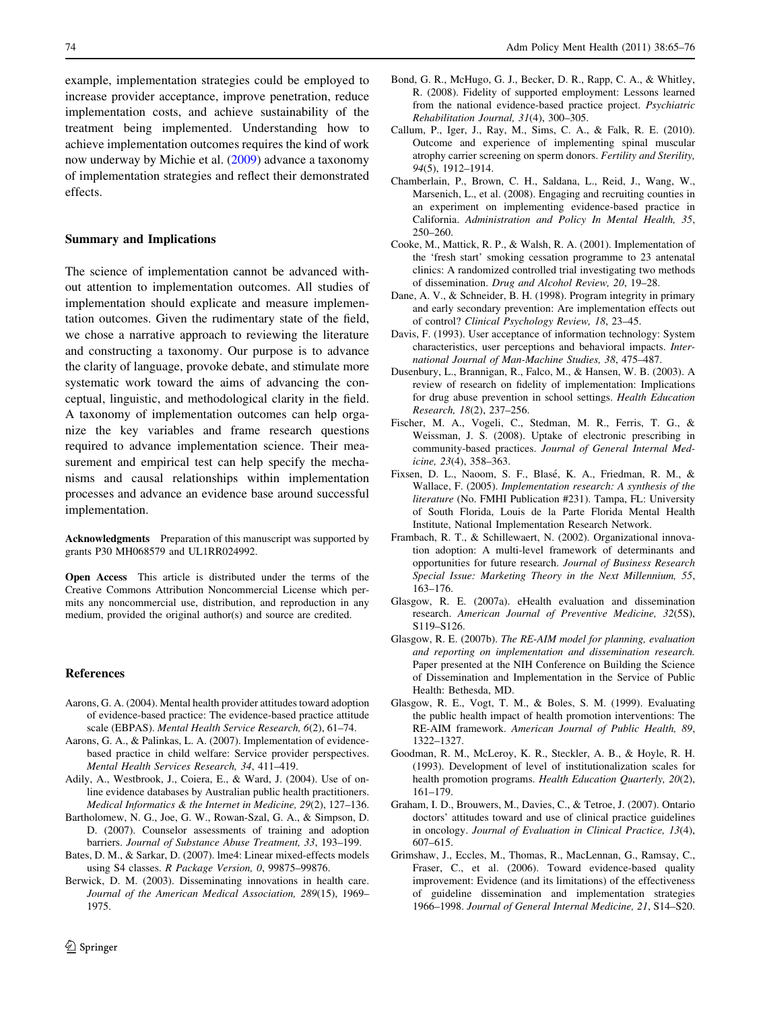<span id="page-9-0"></span>example, implementation strategies could be employed to increase provider acceptance, improve penetration, reduce implementation costs, and achieve sustainability of the treatment being implemented. Understanding how to achieve implementation outcomes requires the kind of work now underway by Michie et al. [\(2009](#page-10-0)) advance a taxonomy of implementation strategies and reflect their demonstrated effects.

## Summary and Implications

The science of implementation cannot be advanced without attention to implementation outcomes. All studies of implementation should explicate and measure implementation outcomes. Given the rudimentary state of the field, we chose a narrative approach to reviewing the literature and constructing a taxonomy. Our purpose is to advance the clarity of language, provoke debate, and stimulate more systematic work toward the aims of advancing the conceptual, linguistic, and methodological clarity in the field. A taxonomy of implementation outcomes can help organize the key variables and frame research questions required to advance implementation science. Their measurement and empirical test can help specify the mechanisms and causal relationships within implementation processes and advance an evidence base around successful implementation.

Acknowledgments Preparation of this manuscript was supported by grants P30 MH068579 and UL1RR024992.

Open Access This article is distributed under the terms of the Creative Commons Attribution Noncommercial License which permits any noncommercial use, distribution, and reproduction in any medium, provided the original author(s) and source are credited.

#### References

- Aarons, G. A. (2004). Mental health provider attitudes toward adoption of evidence-based practice: The evidence-based practice attitude scale (EBPAS). Mental Health Service Research, 6(2), 61–74.
- Aarons, G. A., & Palinkas, L. A. (2007). Implementation of evidencebased practice in child welfare: Service provider perspectives. Mental Health Services Research, 34, 411–419.
- Adily, A., Westbrook, J., Coiera, E., & Ward, J. (2004). Use of online evidence databases by Australian public health practitioners. Medical Informatics & the Internet in Medicine, 29(2), 127–136.
- Bartholomew, N. G., Joe, G. W., Rowan-Szal, G. A., & Simpson, D. D. (2007). Counselor assessments of training and adoption barriers. Journal of Substance Abuse Treatment, 33, 193–199.
- Bates, D. M., & Sarkar, D. (2007). lme4: Linear mixed-effects models using S4 classes. R Package Version, 0, 99875–99876.
- Berwick, D. M. (2003). Disseminating innovations in health care. Journal of the American Medical Association, 289(15), 1969– 1975.
- Bond, G. R., McHugo, G. J., Becker, D. R., Rapp, C. A., & Whitley, R. (2008). Fidelity of supported employment: Lessons learned from the national evidence-based practice project. Psychiatric Rehabilitation Journal, 31(4), 300–305.
- Callum, P., Iger, J., Ray, M., Sims, C. A., & Falk, R. E. (2010). Outcome and experience of implementing spinal muscular atrophy carrier screening on sperm donors. Fertility and Sterility, 94(5), 1912–1914.
- Chamberlain, P., Brown, C. H., Saldana, L., Reid, J., Wang, W., Marsenich, L., et al. (2008). Engaging and recruiting counties in an experiment on implementing evidence-based practice in California. Administration and Policy In Mental Health, 35, 250–260.
- Cooke, M., Mattick, R. P., & Walsh, R. A. (2001). Implementation of the 'fresh start' smoking cessation programme to 23 antenatal clinics: A randomized controlled trial investigating two methods of dissemination. Drug and Alcohol Review, 20, 19–28.
- Dane, A. V., & Schneider, B. H. (1998). Program integrity in primary and early secondary prevention: Are implementation effects out of control? Clinical Psychology Review, 18, 23–45.
- Davis, F. (1993). User acceptance of information technology: System characteristics, user perceptions and behavioral impacts. International Journal of Man-Machine Studies, 38, 475–487.
- Dusenbury, L., Brannigan, R., Falco, M., & Hansen, W. B. (2003). A review of research on fidelity of implementation: Implications for drug abuse prevention in school settings. Health Education Research, 18(2), 237–256.
- Fischer, M. A., Vogeli, C., Stedman, M. R., Ferris, T. G., & Weissman, J. S. (2008). Uptake of electronic prescribing in community-based practices. Journal of General Internal Medicine, 23(4), 358–363.
- Fixsen, D. L., Naoom, S. F., Blasé, K. A., Friedman, R. M., & Wallace, F. (2005). Implementation research: A synthesis of the literature (No. FMHI Publication #231). Tampa, FL: University of South Florida, Louis de la Parte Florida Mental Health Institute, National Implementation Research Network.
- Frambach, R. T., & Schillewaert, N. (2002). Organizational innovation adoption: A multi-level framework of determinants and opportunities for future research. Journal of Business Research Special Issue: Marketing Theory in the Next Millennium, 55, 163–176.
- Glasgow, R. E. (2007a). eHealth evaluation and dissemination research. American Journal of Preventive Medicine, 32(5S), S119–S126.
- Glasgow, R. E. (2007b). The RE-AIM model for planning, evaluation and reporting on implementation and dissemination research. Paper presented at the NIH Conference on Building the Science of Dissemination and Implementation in the Service of Public Health: Bethesda, MD.
- Glasgow, R. E., Vogt, T. M., & Boles, S. M. (1999). Evaluating the public health impact of health promotion interventions: The RE-AIM framework. American Journal of Public Health, 89, 1322–1327.
- Goodman, R. M., McLeroy, K. R., Steckler, A. B., & Hoyle, R. H. (1993). Development of level of institutionalization scales for health promotion programs. Health Education Quarterly, 20(2), 161–179.
- Graham, I. D., Brouwers, M., Davies, C., & Tetroe, J. (2007). Ontario doctors' attitudes toward and use of clinical practice guidelines in oncology. Journal of Evaluation in Clinical Practice, 13(4), 607–615.
- Grimshaw, J., Eccles, M., Thomas, R., MacLennan, G., Ramsay, C., Fraser, C., et al. (2006). Toward evidence-based quality improvement: Evidence (and its limitations) of the effectiveness of guideline dissemination and implementation strategies 1966–1998. Journal of General Internal Medicine, 21, S14–S20.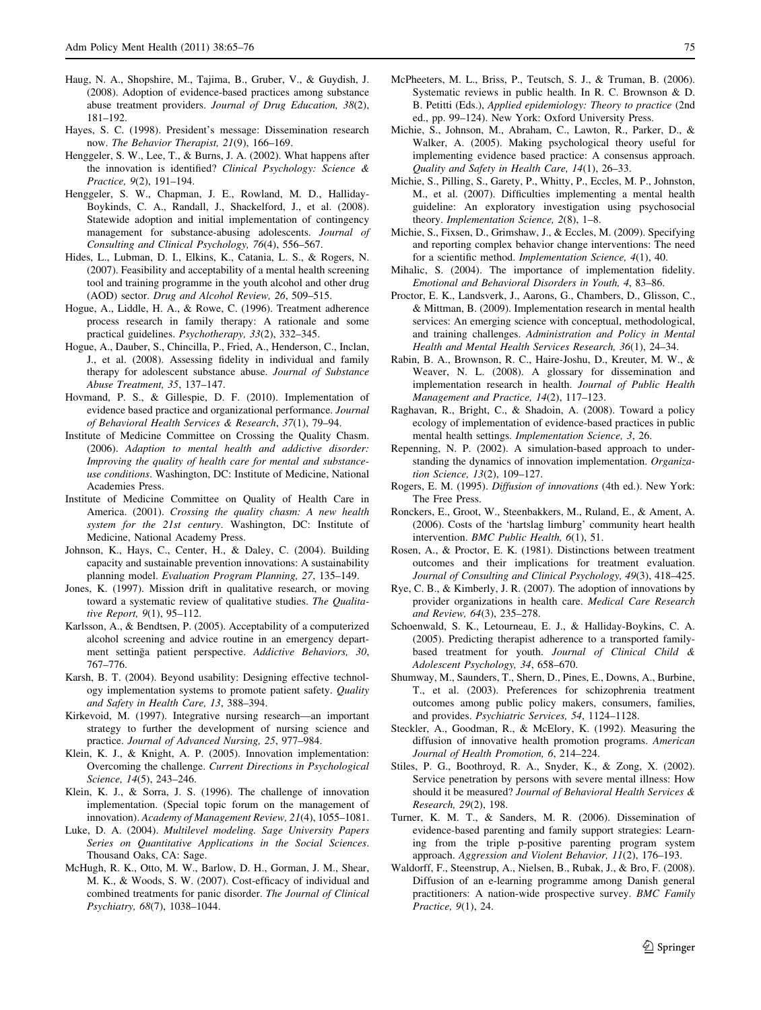- <span id="page-10-0"></span>Haug, N. A., Shopshire, M., Tajima, B., Gruber, V., & Guydish, J. (2008). Adoption of evidence-based practices among substance abuse treatment providers. Journal of Drug Education, 38(2), 181–192.
- Hayes, S. C. (1998). President's message: Dissemination research now. The Behavior Therapist, 21(9), 166–169.
- Henggeler, S. W., Lee, T., & Burns, J. A. (2002). What happens after the innovation is identified? Clinical Psychology: Science & Practice, 9(2), 191–194.
- Henggeler, S. W., Chapman, J. E., Rowland, M. D., Halliday-Boykinds, C. A., Randall, J., Shackelford, J., et al. (2008). Statewide adoption and initial implementation of contingency management for substance-abusing adolescents. Journal of Consulting and Clinical Psychology, 76(4), 556–567.
- Hides, L., Lubman, D. I., Elkins, K., Catania, L. S., & Rogers, N. (2007). Feasibility and acceptability of a mental health screening tool and training programme in the youth alcohol and other drug (AOD) sector. Drug and Alcohol Review, 26, 509–515.
- Hogue, A., Liddle, H. A., & Rowe, C. (1996). Treatment adherence process research in family therapy: A rationale and some practical guidelines. Psychotherapy, 33(2), 332–345.
- Hogue, A., Dauber, S., Chincilla, P., Fried, A., Henderson, C., Inclan, J., et al. (2008). Assessing fidelity in individual and family therapy for adolescent substance abuse. Journal of Substance Abuse Treatment, 35, 137–147.
- Hovmand, P. S., & Gillespie, D. F. (2010). Implementation of evidence based practice and organizational performance. Journal of Behavioral Health Services & Research, 37(1), 79–94.
- Institute of Medicine Committee on Crossing the Quality Chasm. (2006). Adaption to mental health and addictive disorder: Improving the quality of health care for mental and substanceuse conditions. Washington, DC: Institute of Medicine, National Academies Press.
- Institute of Medicine Committee on Quality of Health Care in America. (2001). Crossing the quality chasm: A new health system for the 21st century. Washington, DC: Institute of Medicine, National Academy Press.
- Johnson, K., Hays, C., Center, H., & Daley, C. (2004). Building capacity and sustainable prevention innovations: A sustainability planning model. Evaluation Program Planning, 27, 135–149.
- Jones, K. (1997). Mission drift in qualitative research, or moving toward a systematic review of qualitative studies. The Qualitative Report, 9(1), 95–112.
- Karlsson, A., & Bendtsen, P. (2005). Acceptability of a computerized alcohol screening and advice routine in an emergency department settinga patient perspective. Addictive Behaviors, 30, 767–776.
- Karsh, B. T. (2004). Beyond usability: Designing effective technology implementation systems to promote patient safety. Quality and Safety in Health Care, 13, 388–394.
- Kirkevoid, M. (1997). Integrative nursing research—an important strategy to further the development of nursing science and practice. Journal of Advanced Nursing, 25, 977–984.
- Klein, K. J., & Knight, A. P. (2005). Innovation implementation: Overcoming the challenge. Current Directions in Psychological Science, 14(5), 243–246.
- Klein, K. J., & Sorra, J. S. (1996). The challenge of innovation implementation. (Special topic forum on the management of innovation). Academy of Management Review, 21(4), 1055–1081.
- Luke, D. A. (2004). Multilevel modeling. Sage University Papers Series on Quantitative Applications in the Social Sciences. Thousand Oaks, CA: Sage.
- McHugh, R. K., Otto, M. W., Barlow, D. H., Gorman, J. M., Shear, M. K., & Woods, S. W. (2007). Cost-efficacy of individual and combined treatments for panic disorder. The Journal of Clinical Psychiatry, 68(7), 1038–1044.
- McPheeters, M. L., Briss, P., Teutsch, S. J., & Truman, B. (2006). Systematic reviews in public health. In R. C. Brownson & D. B. Petitti (Eds.), Applied epidemiology: Theory to practice (2nd ed., pp. 99–124). New York: Oxford University Press.
- Michie, S., Johnson, M., Abraham, C., Lawton, R., Parker, D., & Walker, A. (2005). Making psychological theory useful for implementing evidence based practice: A consensus approach. Quality and Safety in Health Care, 14(1), 26–33.
- Michie, S., Pilling, S., Garety, P., Whitty, P., Eccles, M. P., Johnston, M., et al. (2007). Difficulties implementing a mental health guideline: An exploratory investigation using psychosocial theory. Implementation Science, 2(8), 1–8.
- Michie, S., Fixsen, D., Grimshaw, J., & Eccles, M. (2009). Specifying and reporting complex behavior change interventions: The need for a scientific method. Implementation Science, 4(1), 40.
- Mihalic, S. (2004). The importance of implementation fidelity. Emotional and Behavioral Disorders in Youth, 4, 83–86.
- Proctor, E. K., Landsverk, J., Aarons, G., Chambers, D., Glisson, C., & Mittman, B. (2009). Implementation research in mental health services: An emerging science with conceptual, methodological, and training challenges. Administration and Policy in Mental Health and Mental Health Services Research, 36(1), 24–34.
- Rabin, B. A., Brownson, R. C., Haire-Joshu, D., Kreuter, M. W., & Weaver, N. L. (2008). A glossary for dissemination and implementation research in health. Journal of Public Health Management and Practice, 14(2), 117–123.
- Raghavan, R., Bright, C., & Shadoin, A. (2008). Toward a policy ecology of implementation of evidence-based practices in public mental health settings. Implementation Science, 3, 26.
- Repenning, N. P. (2002). A simulation-based approach to understanding the dynamics of innovation implementation. Organization Science, 13(2), 109–127.
- Rogers, E. M. (1995). Diffusion of innovations (4th ed.). New York: The Free Press.
- Ronckers, E., Groot, W., Steenbakkers, M., Ruland, E., & Ament, A. (2006). Costs of the 'hartslag limburg' community heart health intervention. BMC Public Health, 6(1), 51.
- Rosen, A., & Proctor, E. K. (1981). Distinctions between treatment outcomes and their implications for treatment evaluation. Journal of Consulting and Clinical Psychology, 49(3), 418–425.
- Rye, C. B., & Kimberly, J. R. (2007). The adoption of innovations by provider organizations in health care. Medical Care Research and Review, 64(3), 235–278.
- Schoenwald, S. K., Letourneau, E. J., & Halliday-Boykins, C. A. (2005). Predicting therapist adherence to a transported familybased treatment for youth. Journal of Clinical Child & Adolescent Psychology, 34, 658–670.
- Shumway, M., Saunders, T., Shern, D., Pines, E., Downs, A., Burbine, T., et al. (2003). Preferences for schizophrenia treatment outcomes among public policy makers, consumers, families, and provides. Psychiatric Services, 54, 1124–1128.
- Steckler, A., Goodman, R., & McElory, K. (1992). Measuring the diffusion of innovative health promotion programs. American Journal of Health Promotion, 6, 214–224.
- Stiles, P. G., Boothroyd, R. A., Snyder, K., & Zong, X. (2002). Service penetration by persons with severe mental illness: How should it be measured? Journal of Behavioral Health Services & Research, 29(2), 198.
- Turner, K. M. T., & Sanders, M. R. (2006). Dissemination of evidence-based parenting and family support strategies: Learning from the triple p-positive parenting program system approach. Aggression and Violent Behavior, 11(2), 176–193.
- Waldorff, F., Steenstrup, A., Nielsen, B., Rubak, J., & Bro, F. (2008). Diffusion of an e-learning programme among Danish general practitioners: A nation-wide prospective survey. BMC Family Practice, 9(1), 24.